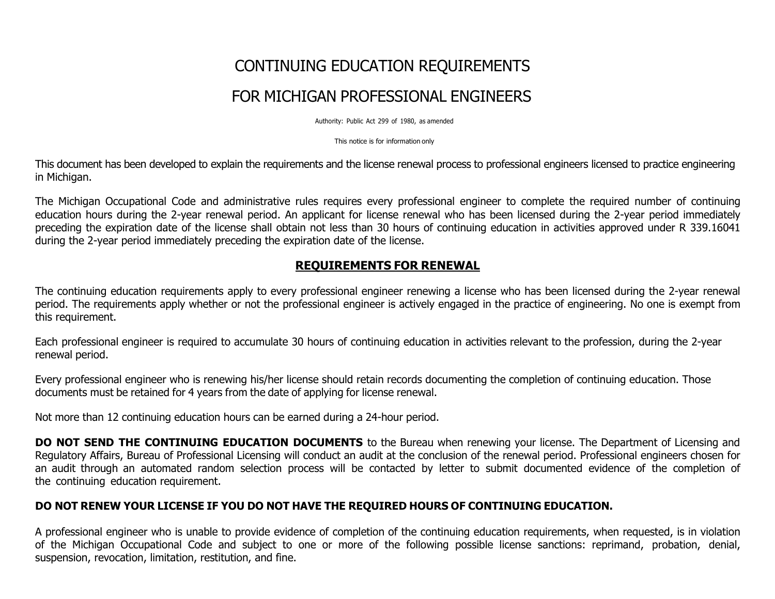# CONTINUING EDUCATION REQUIREMENTS FOR MICHIGAN PROFESSIONAL ENGINEERS

Authority: Public Act 299 of 1980, as amended

This notice is for information only

This document has been developed to explain the requirements and the license renewal process to professional engineers licensed to practice engineering in Michigan.

The Michigan Occupational Code and administrative rules requires every professional engineer to complete the required number of continuing education hours during the 2-year renewal period. An applicant for license renewal who has been licensed during the 2-year period immediately preceding the expiration date of the license shall obtain not less than 30 hours of continuing education in activities approved under R 339.16041 during the 2-year period immediately preceding the expiration date of the license.

## **REQUIREMENTS FOR RENEWAL**

The continuing education requirements apply to every professional engineer renewing a license who has been licensed during the 2-year renewal period. The requirements apply whether or not the professional engineer is actively engaged in the practice of engineering. No one is exempt from this requirement.

Each professional engineer is required to accumulate 30 hours of continuing education in activities relevant to the profession, during the 2-year renewal period.

Every professional engineer who is renewing his/her license should retain records documenting the completion of continuing education. Those documents must be retained for 4 years from the date of applying for license renewal.

Not more than 12 continuing education hours can be earned during a 24-hour period.

**DO NOT SEND THE CONTINUING EDUCATION DOCUMENTS** to the Bureau when renewing your license. The Department of Licensing and Regulatory Affairs, Bureau of Professional Licensing will conduct an audit at the conclusion of the renewal period. Professional engineers chosen for an audit through an automated random selection process will be contacted by letter to submit documented evidence of the completion of the continuing education requirement.

## **DO NOT RENEW YOUR LICENSE IF YOU DO NOT HAVE THE REQUIRED HOURS OF CONTINUING EDUCATION.**

A professional engineer who is unable to provide evidence of completion of the continuing education requirements, when requested, is in violation of the Michigan Occupational Code and subject to one or more of the following possible license sanctions: reprimand, probation, denial, suspension, revocation, limitation, restitution, and fine.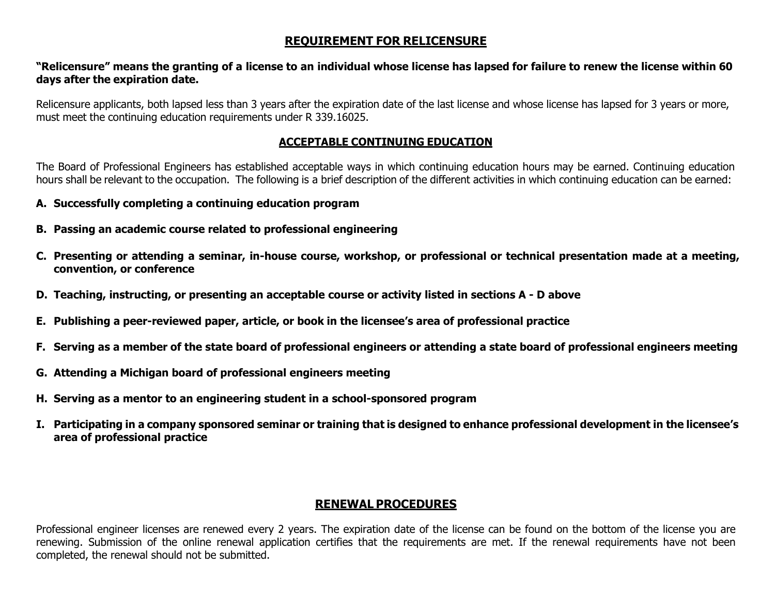# **REQUIREMENT FOR RELICENSURE**

#### "Relicensure" means the granting of a license to an individual whose license has lapsed for failure to renew the license within 60 **days after the expiration date.**

Relicensure applicants, both lapsed less than 3 years after the expiration date of the last license and whose license has lapsed for 3 years or more, must meet the continuing education requirements under R 339.16025.

## **ACCEPTABLE CONTINUING EDUCATION**

The Board of Professional Engineers has established acceptable ways in which continuing education hours may be earned. Continuing education hours shall be relevant to the occupation. The following is a brief description of the different activities in which continuing education can be earned:

- **A. Successfully completing a continuing education program**
- **B. Passing an academic course related to professional engineering**
- C. Presenting or attending a seminar, in-house course, workshop, or professional or technical presentation made at a meeting, **convention, or conference**
- **D. Teaching, instructing, or presenting an acceptable course or activity listed in sections A - D above**
- **E. Publishing a peer-reviewed paper, article, or book in the licensee's area of professional practice**
- F. Serving as a member of the state board of professional engineers or attending a state board of professional engineers meeting
- **G. Attending a Michigan board of professional engineers meeting**
- **H. Serving as a mentor to an engineering student in a school-sponsored program**
- I. Participating in a company sponsored seminar or training that is designed to enhance professional development in the licensee's **area of professional practice**

# **RENEWAL PROCEDURES**

Professional engineer licenses are renewed every 2 years. The expiration date of the license can be found on the bottom of the license you are renewing. Submission of the online renewal application certifies that the requirements are met. If the renewal requirements have not been completed, the renewal should not be submitted.